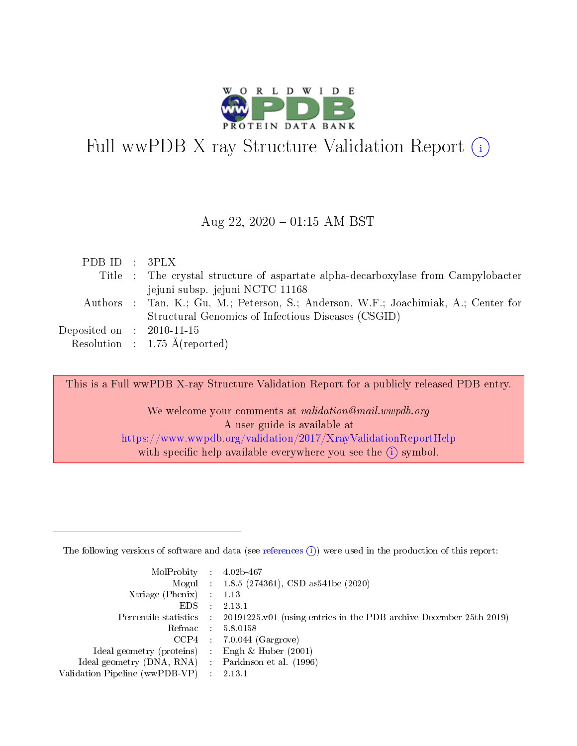

# Full wwPDB X-ray Structure Validation Report (i)

#### Aug 22,  $2020 - 01:15$  AM BST

| Title : The crystal structure of aspartate alpha-decarboxylase from Campylobacter   |  |
|-------------------------------------------------------------------------------------|--|
|                                                                                     |  |
| jejuni subsp. jejuni NCTC 11168                                                     |  |
| Authors : Tan, K.; Gu, M.; Peterson, S.; Anderson, W.F.; Joachimiak, A.; Center for |  |
| Structural Genomics of Infectious Diseases (CSGID)                                  |  |
| Deposited on : $2010-11-15$                                                         |  |
| Resolution : $1.75 \text{ Å}$ (reported)                                            |  |

This is a Full wwPDB X-ray Structure Validation Report for a publicly released PDB entry.

We welcome your comments at validation@mail.wwpdb.org A user guide is available at <https://www.wwpdb.org/validation/2017/XrayValidationReportHelp> with specific help available everywhere you see the  $(i)$  symbol.

The following versions of software and data (see [references](https://www.wwpdb.org/validation/2017/XrayValidationReportHelp#references)  $(1)$ ) were used in the production of this report:

| MolProbity : $4.02b-467$                            |                                                                                            |
|-----------------------------------------------------|--------------------------------------------------------------------------------------------|
|                                                     | Mogul : $1.8.5$ (274361), CSD as 541be (2020)                                              |
| Xtriage (Phenix) $: 1.13$                           |                                                                                            |
| EDS :                                               | 2.13.1                                                                                     |
|                                                     | Percentile statistics : 20191225.v01 (using entries in the PDB archive December 25th 2019) |
| Refmac 58.0158                                      |                                                                                            |
|                                                     | $CCP4$ 7.0.044 (Gargrove)                                                                  |
| Ideal geometry (proteins) : Engh $\&$ Huber (2001)  |                                                                                            |
| Ideal geometry (DNA, RNA) : Parkinson et al. (1996) |                                                                                            |
| Validation Pipeline (wwPDB-VP) : 2.13.1             |                                                                                            |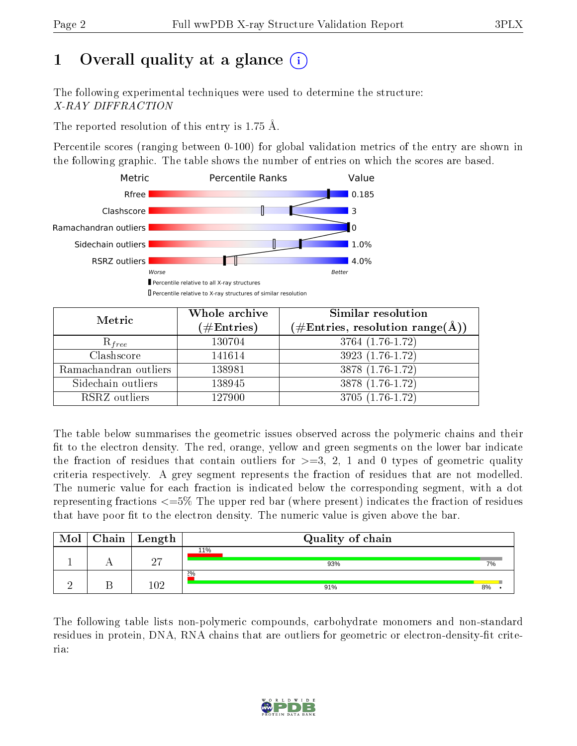# 1 [O](https://www.wwpdb.org/validation/2017/XrayValidationReportHelp#overall_quality)verall quality at a glance  $(i)$

The following experimental techniques were used to determine the structure: X-RAY DIFFRACTION

The reported resolution of this entry is 1.75 Å.

Percentile scores (ranging between 0-100) for global validation metrics of the entry are shown in the following graphic. The table shows the number of entries on which the scores are based.



| Metric                | Whole archive<br>$(\#\text{Entries})$ | <b>Similar resolution</b><br>$(\#\text{Entries}, \text{resolution range}(\text{\AA}))$ |
|-----------------------|---------------------------------------|----------------------------------------------------------------------------------------|
| $R_{free}$            | 130704                                | 3764 (1.76-1.72)                                                                       |
| Clashscore            | 141614                                | $3923(1.76-1.72)$                                                                      |
| Ramachandran outliers | 138981                                | $3878(1.76-1.72)$                                                                      |
| Sidechain outliers    | 138945                                | 3878 (1.76-1.72)                                                                       |
| RSRZ outliers         | 127900                                | 3705 (1.76-1.72)                                                                       |

The table below summarises the geometric issues observed across the polymeric chains and their fit to the electron density. The red, orange, yellow and green segments on the lower bar indicate the fraction of residues that contain outliers for  $>=3, 2, 1$  and 0 types of geometric quality criteria respectively. A grey segment represents the fraction of residues that are not modelled. The numeric value for each fraction is indicated below the corresponding segment, with a dot representing fractions <=5% The upper red bar (where present) indicates the fraction of residues that have poor fit to the electron density. The numeric value is given above the bar.

| Mol | $\boxed{\text{Chain}   \text{Length}  }$ | Quality of chain |    |
|-----|------------------------------------------|------------------|----|
|     | $\Omega$<br>↩                            | 11%<br>93%       | 7% |
|     | $102\,$                                  | $2\%$<br>91%     | 8% |

The following table lists non-polymeric compounds, carbohydrate monomers and non-standard residues in protein, DNA, RNA chains that are outliers for geometric or electron-density-fit criteria:

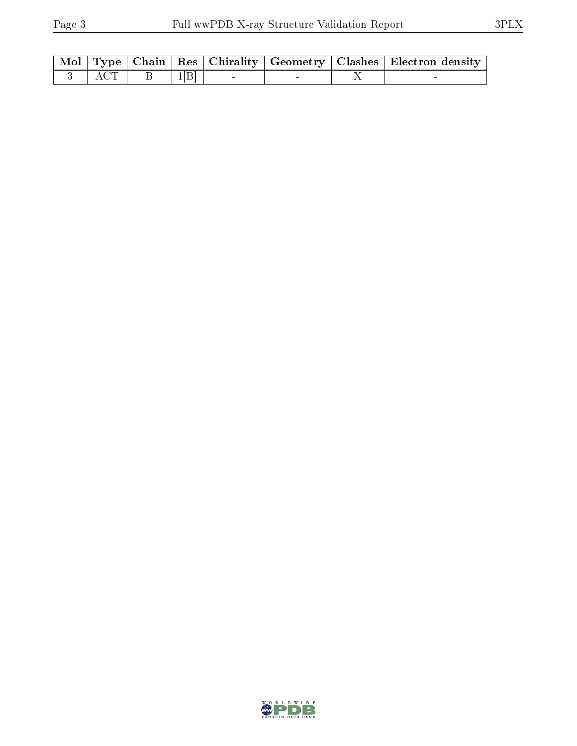|          |  |  | $\mid$ Mol $\mid$ Type $\mid$ Chain $\mid$ Res $\mid$ Chirality $\mid$ Geometry $\mid$ Clashes $\mid$ Electron density $\mid$ |
|----------|--|--|-------------------------------------------------------------------------------------------------------------------------------|
| $-3$ ACT |  |  |                                                                                                                               |

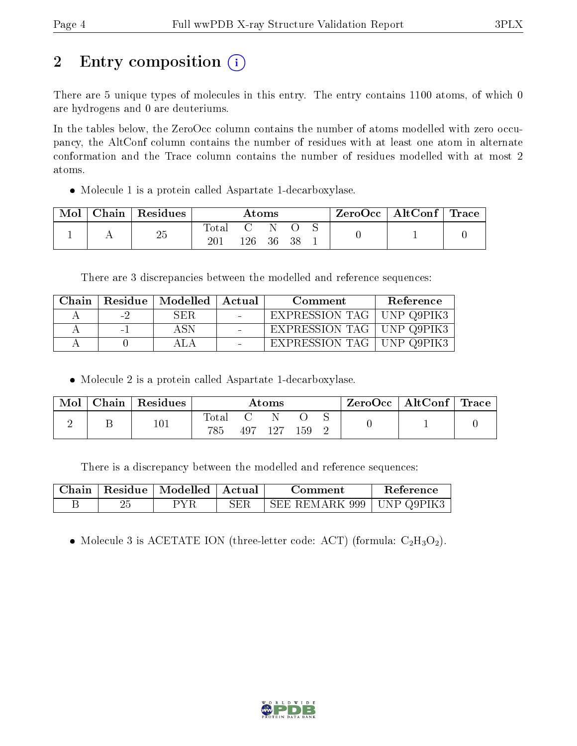# 2 Entry composition (i)

There are 5 unique types of molecules in this entry. The entry contains 1100 atoms, of which 0 are hydrogens and 0 are deuteriums.

In the tables below, the ZeroOcc column contains the number of atoms modelled with zero occupancy, the AltConf column contains the number of residues with at least one atom in alternate conformation and the Trace column contains the number of residues modelled with at most 2 atoms.

Molecule 1 is a protein called Aspartate 1-decarboxylase.

| Mol | Chain   Residues | Atoms |     |     | $\rm ZeroOcc$   AltConf   Trace |  |  |  |
|-----|------------------|-------|-----|-----|---------------------------------|--|--|--|
|     | 25               | Total | 126 | -36 | 38                              |  |  |  |

There are 3 discrepancies between the modelled and reference sequences:

| Chain |                          | Residue   Modelled | – Actual | Comment                     | Reference |
|-------|--------------------------|--------------------|----------|-----------------------------|-----------|
|       | $\overline{\phantom{0}}$ | SER                |          | EXPRESSION TAG   UNP Q9PIK3 |           |
|       | $\sim$                   |                    |          | EXPRESSION TAG   UNP Q9PIK3 |           |
|       |                          |                    |          | EXPRESSION TAG   UNP Q9PIK3 |           |

Molecule 2 is a protein called Aspartate 1-decarboxylase.

| Mol | $Chain   Residues$ | $\rm\bf Atoms$ |  |         | $\mid$ ZeroOcc $\mid$ AltConf $\mid$ Trace |  |  |  |
|-----|--------------------|----------------|--|---------|--------------------------------------------|--|--|--|
|     | 101                | Total<br>785   |  | 497 127 | 159                                        |  |  |  |

There is a discrepancy between the modelled and reference sequences:

|  | Chain   Residue   Modelled   Actual | Comment                     | Reference |
|--|-------------------------------------|-----------------------------|-----------|
|  | PYR                                 | SEE REMARK 999   UNP Q9PIK3 |           |

• Molecule 3 is ACETATE ION (three-letter code: ACT) (formula:  $C_2H_3O_2$ ).

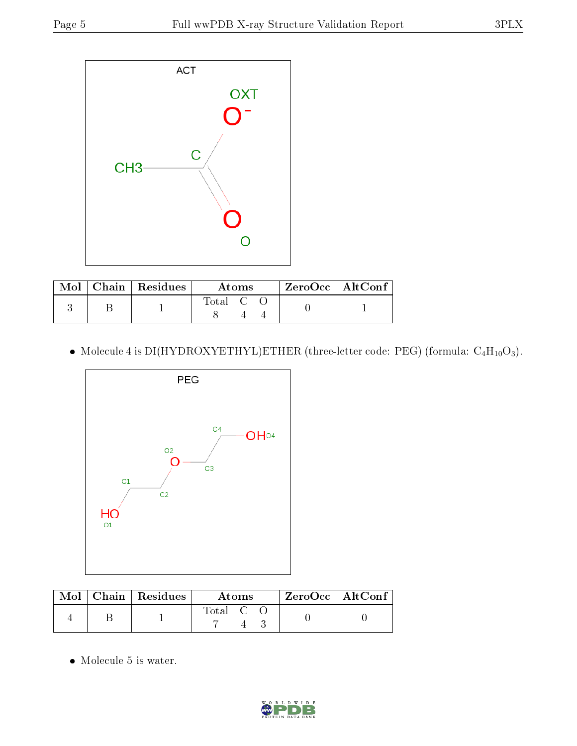

|  | $\text{Mol}$   Chain   Residues | Atoms                                                    |  |  | $ZeroOcc \   \ AltConf$ |  |
|--|---------------------------------|----------------------------------------------------------|--|--|-------------------------|--|
|  |                                 | $\begin{array}{ccc} \text{Total} & \text{C} \end{array}$ |  |  |                         |  |

• Molecule 4 is DI(HYDROXYETHYL)ETHER (three-letter code: PEG) (formula:  $C_4H_{10}O_3$ ).



|  | $Mol$   Chain   Residues | Atoms   |  |  | $ZeroOcc \   \ AltConf$ |
|--|--------------------------|---------|--|--|-------------------------|
|  |                          | Total C |  |  |                         |

• Molecule 5 is water.

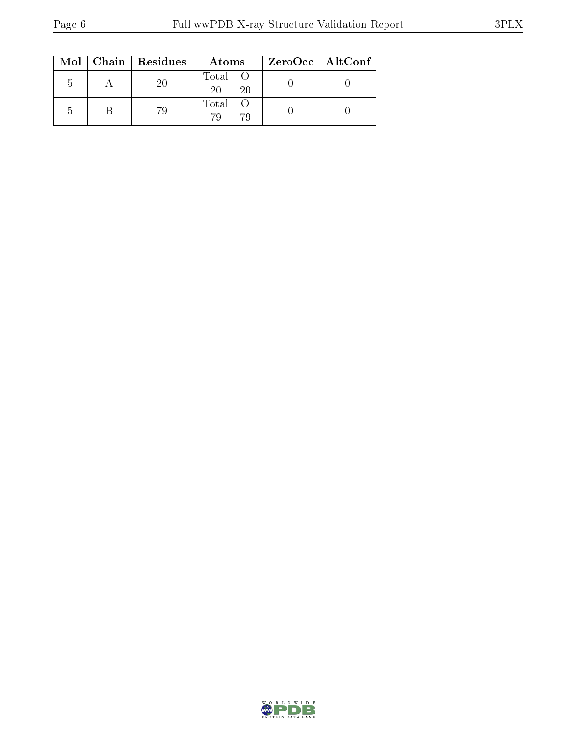|    | $Mol$   Chain   Residues | Atoms               | ZeroOcc   AltConf |
|----|--------------------------|---------------------|-------------------|
|    | 20                       | Total O<br>20<br>20 |                   |
| ۰, | 79                       | Total<br>70<br>79   |                   |

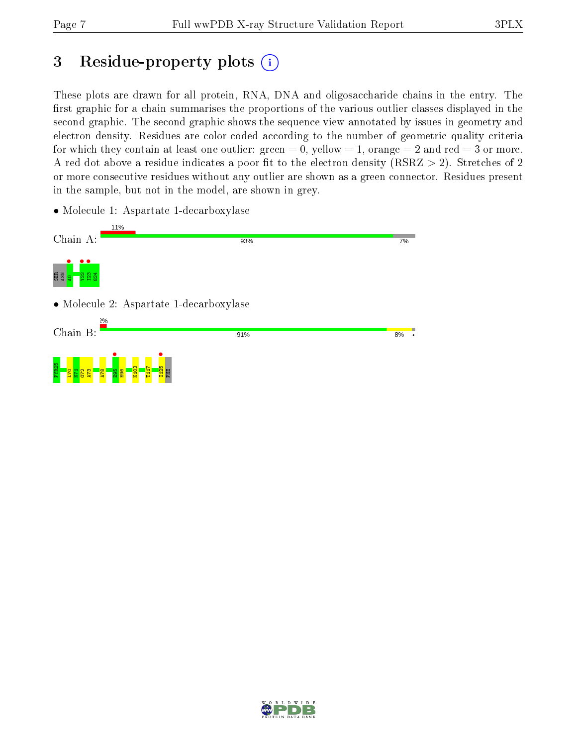# 3 Residue-property plots  $(i)$

These plots are drawn for all protein, RNA, DNA and oligosaccharide chains in the entry. The first graphic for a chain summarises the proportions of the various outlier classes displayed in the second graphic. The second graphic shows the sequence view annotated by issues in geometry and electron density. Residues are color-coded according to the number of geometric quality criteria for which they contain at least one outlier: green  $= 0$ , yellow  $= 1$ , orange  $= 2$  and red  $= 3$  or more. A red dot above a residue indicates a poor fit to the electron density ( $\text{RSRZ} > 2$ ). Stretches of 2 or more consecutive residues without any outlier are shown as a green connector. Residues present in the sample, but not in the model, are shown in grey.

• Molecule 1: Aspartate 1-decarboxylase



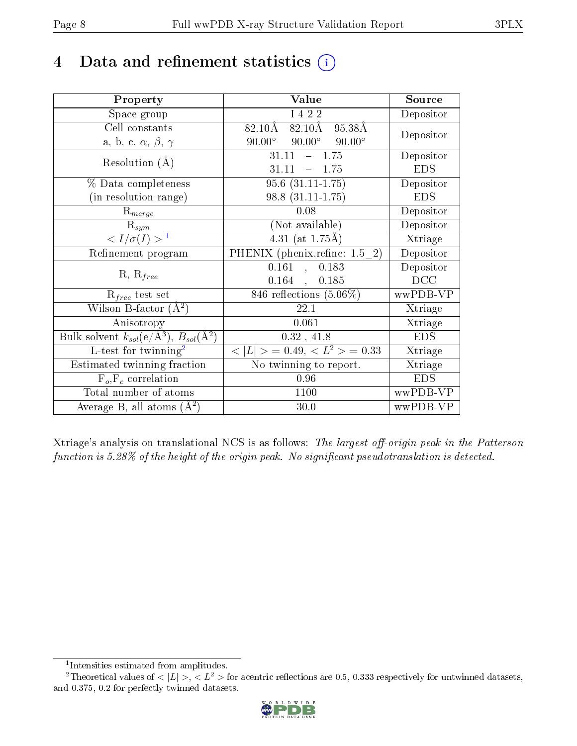## 4 Data and refinement statistics  $(i)$

| Property                                                             | Value                                            | Source     |
|----------------------------------------------------------------------|--------------------------------------------------|------------|
| Space group                                                          | I 4 2 2                                          | Depositor  |
| Cell constants                                                       | $82.10\text{\AA}$<br>82.10Å<br>95.38Å            | Depositor  |
| a, b, c, $\alpha$ , $\beta$ , $\gamma$                               | $90.00^{\circ}$ $90.00^{\circ}$<br>$90.00^\circ$ |            |
| Resolution $(A)$                                                     | $-1.75$<br>31.11                                 | Depositor  |
|                                                                      | 31.11<br>1.75<br>$\equiv$                        | <b>EDS</b> |
| % Data completeness                                                  | $95.6(31.11-1.75)$                               | Depositor  |
| (in resolution range)                                                | $98.8(31.11-1.75)$                               | <b>EDS</b> |
| $R_{merge}$                                                          | 0.08                                             | Depositor  |
| $\mathrm{R}_{sym}$                                                   | (Not available)                                  | Depositor  |
| $\langle I/\sigma(I) \rangle^{-1}$                                   | $4.31$ (at 1.75Å)                                | Xtriage    |
| Refinement program                                                   | PHENIX (phenix.refine: 1.5 2)                    | Depositor  |
| $R, R_{free}$                                                        | 0.161<br>0.183<br>$\ddot{\phantom{a}}$           | Depositor  |
|                                                                      | $0.164$ ,<br>0.185                               | DCC        |
| $R_{free}$ test set                                                  | 846 reflections $(5.06\%)$                       | wwPDB-VP   |
| Wilson B-factor $(A^2)$                                              | 22.1                                             | Xtriage    |
| Anisotropy                                                           | 0.061                                            | Xtriage    |
| Bulk solvent $k_{sol}(e/\mathring{A}^3)$ , $B_{sol}(\mathring{A}^2)$ | $0.32$ , 41.8                                    | <b>EDS</b> |
| L-test for twinning <sup>2</sup>                                     | $< L >$ = 0.49, $< L^2 >$ = 0.33                 | Xtriage    |
| Estimated twinning fraction                                          | No twinning to report.                           | Xtriage    |
| $F_o, F_c$ correlation                                               | 0.96                                             | <b>EDS</b> |
| Total number of atoms                                                | 1100                                             | wwPDB-VP   |
| Average B, all atoms $(A^2)$                                         | 30.0                                             | wwPDB-VP   |

Xtriage's analysis on translational NCS is as follows: The largest off-origin peak in the Patterson function is  $5.28\%$  of the height of the origin peak. No significant pseudotranslation is detected.

<sup>&</sup>lt;sup>2</sup>Theoretical values of  $\langle |L| \rangle$ ,  $\langle L^2 \rangle$  for acentric reflections are 0.5, 0.333 respectively for untwinned datasets, and 0.375, 0.2 for perfectly twinned datasets.



<span id="page-7-1"></span><span id="page-7-0"></span><sup>1</sup> Intensities estimated from amplitudes.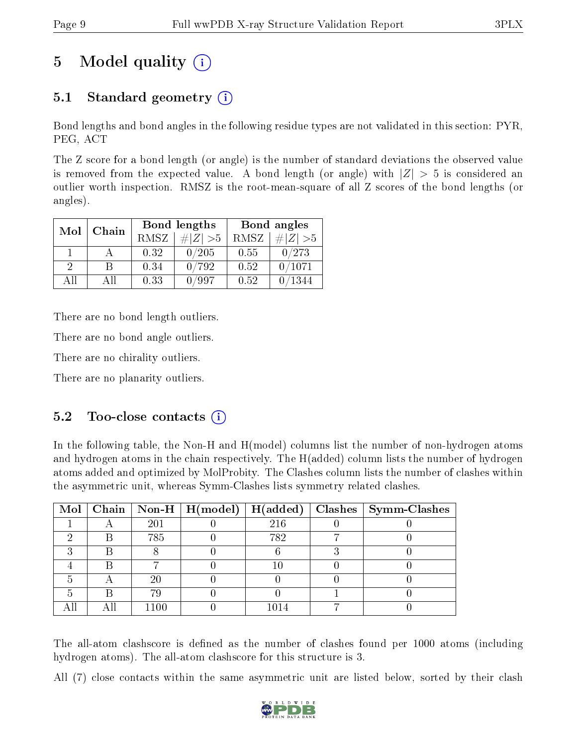# 5 Model quality  $(i)$

## 5.1 Standard geometry (i)

Bond lengths and bond angles in the following residue types are not validated in this section: PYR, PEG, ACT

The Z score for a bond length (or angle) is the number of standard deviations the observed value is removed from the expected value. A bond length (or angle) with  $|Z| > 5$  is considered an outlier worth inspection. RMSZ is the root-mean-square of all Z scores of the bond lengths (or angles).

| Mol           | Chain |      | Bond lengths | Bond angles |          |  |
|---------------|-------|------|--------------|-------------|----------|--|
|               |       | RMSZ | $\# Z  > 5$  | RMSZ        | # Z  > 5 |  |
|               |       | 0.32 | 0/205        | 0.55        | 0/273    |  |
| $\mathcal{D}$ |       | 0.34 | 0/792        | 0.52        | 0/1071   |  |
| ΔH            | A 11  | 0.33 | /997         | 0.52        | 1344     |  |

There are no bond length outliers.

There are no bond angle outliers.

There are no chirality outliers.

There are no planarity outliers.

### $5.2$  Too-close contacts  $(i)$

In the following table, the Non-H and H(model) columns list the number of non-hydrogen atoms and hydrogen atoms in the chain respectively. The H(added) column lists the number of hydrogen atoms added and optimized by MolProbity. The Clashes column lists the number of clashes within the asymmetric unit, whereas Symm-Clashes lists symmetry related clashes.

|  |      |     | Mol   Chain   Non-H   H(model)   H(added)   Clashes   Symm-Clashes |
|--|------|-----|--------------------------------------------------------------------|
|  | 201  | 216 |                                                                    |
|  | 785  | 782 |                                                                    |
|  |      |     |                                                                    |
|  |      |     |                                                                    |
|  | 20   |     |                                                                    |
|  | 79   |     |                                                                    |
|  | 1100 |     |                                                                    |

The all-atom clashscore is defined as the number of clashes found per 1000 atoms (including hydrogen atoms). The all-atom clashscore for this structure is 3.

All (7) close contacts within the same asymmetric unit are listed below, sorted by their clash

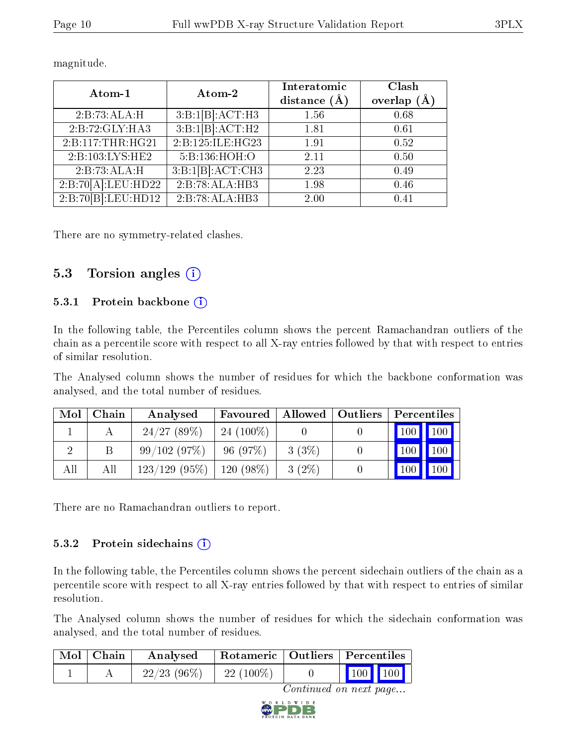| Atom-1             | Atom-2               | Interatomic<br>distance $(\AA)$ | Clash<br>overlap |
|--------------------|----------------------|---------------------------------|------------------|
| 2:B:73:ALA:H       | 3:B:1[B].ACT:H3      | 1.56                            | 0.68             |
| 2:B:72:GLY:HA3     | 3:B:1[B]:ACT:H2      | 1.81                            | 0.61             |
| 2:B:117:THR:HG21   | 2: B: 125: ILE: HG23 | 1.91                            | 0.52             |
| 2:B:103:LYS:HE2    | 5:B:136:HOH:O        | 2.11                            | 0.50             |
| 2:B:73:ALA:H       | 3:B:1[B]:ACT:CH3     | 2.23                            | 0.49             |
| 2:B:70[A]:LEU:HD22 | 2:B:78:ALA:HB3       | 1.98                            | 0.46             |
| 2:B:70[B]:LEU:HD12 | 2:B:78:ALA:HB3       | 2.00                            | 0.41             |

magnitude.

There are no symmetry-related clashes.

### 5.3 Torsion angles  $(i)$

#### 5.3.1 Protein backbone (i)

In the following table, the Percentiles column shows the percent Ramachandran outliers of the chain as a percentile score with respect to all X-ray entries followed by that with respect to entries of similar resolution.

The Analysed column shows the number of residues for which the backbone conformation was analysed, and the total number of residues.

| Mol | Chain | Analysed                      | Favoured    |          | Allowed   Outliers   Percentiles                     |
|-----|-------|-------------------------------|-------------|----------|------------------------------------------------------|
|     |       | 24/27(89%)                    | $24(100\%)$ |          | $\blacksquare$ 100 $\blacksquare$ 100 $\blacksquare$ |
|     |       | 99/102(97%)                   | 96(97%)     | 3(3%)    | 100<br>100                                           |
| All | All   | $123/129$ (95\%)   120 (98\%) |             | $3(2\%)$ | 100<br>100                                           |

There are no Ramachandran outliers to report.

#### 5.3.2 Protein sidechains (i)

In the following table, the Percentiles column shows the percent sidechain outliers of the chain as a percentile score with respect to all X-ray entries followed by that with respect to entries of similar resolution.

The Analysed column shows the number of residues for which the sidechain conformation was analysed, and the total number of residues.

| $Mol$   Chain | Analysed       |             |  | Rotameric   Outliers   Percentiles |
|---------------|----------------|-------------|--|------------------------------------|
|               | $22/23$ (96\%) | $22(100\%)$ |  | $\vert$ 100 $\vert$ 100 $\vert$    |

Continued on next page...

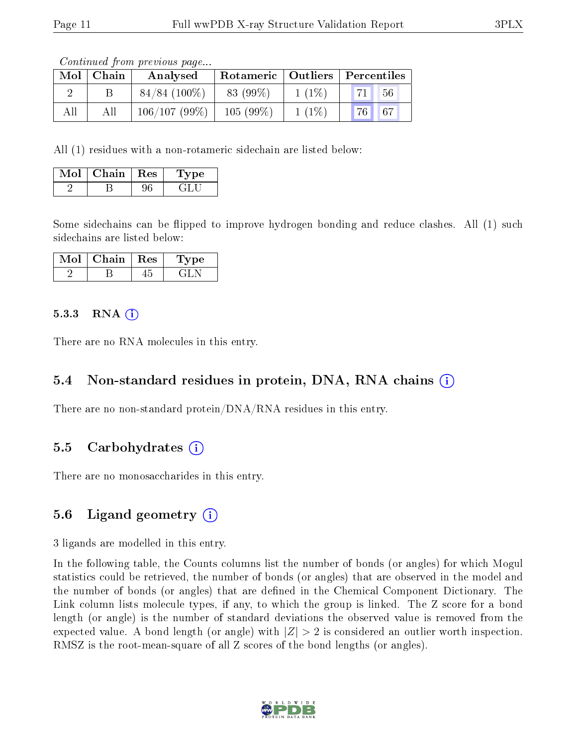Continued from previous page...

| Mol | Chain | Analysed        |          |          | Rotameric   Outliers   Percentiles |
|-----|-------|-----------------|----------|----------|------------------------------------|
|     |       | $84/84$ (100\%) | 83 (99%) | $1(1\%)$ | 71 <sup>h</sup><br>56              |
| All | All   | 106/107(99%)    | 105(99%) | $1(1\%)$ | 76 67                              |

All (1) residues with a non-rotameric sidechain are listed below:

| Mol | Chain | $\parallel$ Res | ∵pe - |
|-----|-------|-----------------|-------|
|     |       |                 |       |

Some sidechains can be flipped to improve hydrogen bonding and reduce clashes. All (1) such sidechains are listed below:

| Chain | $\parallel$ Res | ype |  |
|-------|-----------------|-----|--|
|       |                 |     |  |

#### 5.3.3 RNA  $(i)$

There are no RNA molecules in this entry.

#### 5.4 Non-standard residues in protein, DNA, RNA chains (i)

There are no non-standard protein/DNA/RNA residues in this entry.

#### 5.5 Carbohydrates (i)

There are no monosaccharides in this entry.

### 5.6 Ligand geometry  $(i)$

3 ligands are modelled in this entry.

In the following table, the Counts columns list the number of bonds (or angles) for which Mogul statistics could be retrieved, the number of bonds (or angles) that are observed in the model and the number of bonds (or angles) that are dened in the Chemical Component Dictionary. The Link column lists molecule types, if any, to which the group is linked. The Z score for a bond length (or angle) is the number of standard deviations the observed value is removed from the expected value. A bond length (or angle) with  $|Z| > 2$  is considered an outlier worth inspection. RMSZ is the root-mean-square of all Z scores of the bond lengths (or angles).

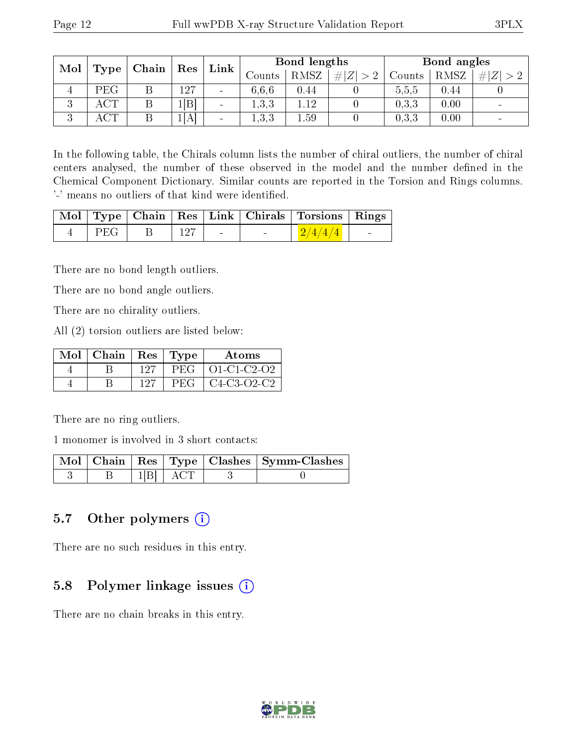| Mol           | Type     | Chain | Res  | Link                     |        | Bond lengths |             |        | Bond angles |     |
|---------------|----------|-------|------|--------------------------|--------|--------------|-------------|--------|-------------|-----|
|               |          |       |      |                          | Counts | <b>RMSZ</b>  | # $ Z  > 2$ | Counts | RMSZ        | # Z |
| 4             | PEG      | D     | 127  | $\overline{\phantom{a}}$ | 6.6.6  | 0.44         |             | 5,5,5  | 0.44        |     |
| 2<br>◡        | ACT      |       | B    | $\overline{\phantom{a}}$ | 1,3,3  | 1.12         |             | 0.3.3  | 0.00        |     |
| $\Omega$<br>◡ | $\cap$ m |       | 1[A] | $\overline{\phantom{a}}$ | 1,3,3  | 1.59         |             | 0,3,3  | 0.00        |     |

In the following table, the Chirals column lists the number of chiral outliers, the number of chiral centers analysed, the number of these observed in the model and the number defined in the Chemical Component Dictionary. Similar counts are reported in the Torsion and Rings columns. '-' means no outliers of that kind were identified.

|        |     |                          | Mol   Type   Chain   Res   Link   Chirals   Torsions   Rings |                          |
|--------|-----|--------------------------|--------------------------------------------------------------|--------------------------|
| $PEG-$ | 127 | <b>Contract Contract</b> | $\frac{2}{4/4}$                                              | <b>Contract Contract</b> |

There are no bond length outliers.

There are no bond angle outliers.

There are no chirality outliers.

All (2) torsion outliers are listed below:

| $Mol$   Chain   Res   Type |     |            | Atoms               |
|----------------------------|-----|------------|---------------------|
|                            | 127 |            | $PEG   O1-C1-C2-O2$ |
|                            | 127 | <b>PEG</b> | C4-C3-O2-C2         |

There are no ring outliers.

1 monomer is involved in 3 short contacts:

|  |  | Mol   Chain   Res   Type   Clashes   Symm-Clashes |
|--|--|---------------------------------------------------|
|  |  |                                                   |

### 5.7 [O](https://www.wwpdb.org/validation/2017/XrayValidationReportHelp#nonstandard_residues_and_ligands)ther polymers (i)

There are no such residues in this entry.

### 5.8 Polymer linkage issues  $(i)$

There are no chain breaks in this entry.

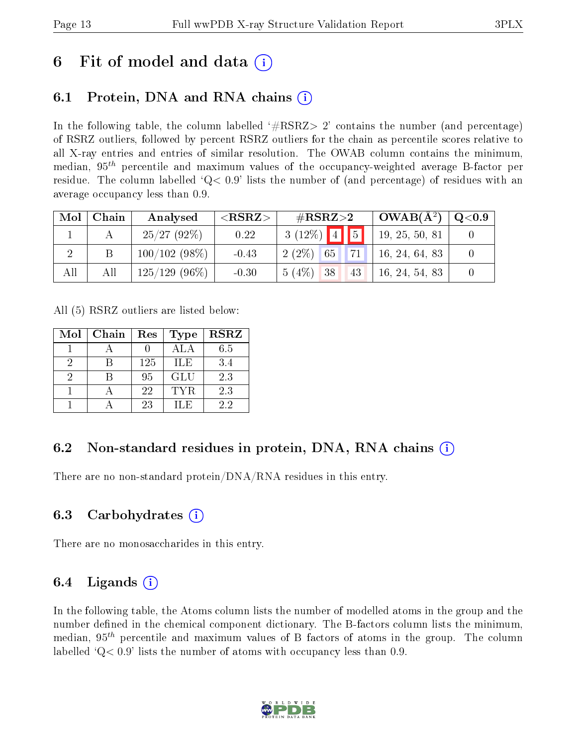## 6 Fit of model and data  $\left( \cdot \right)$

## 6.1 Protein, DNA and RNA chains (i)

In the following table, the column labelled  $#RSRZ>2'$  contains the number (and percentage) of RSRZ outliers, followed by percent RSRZ outliers for the chain as percentile scores relative to all X-ray entries and entries of similar resolution. The OWAB column contains the minimum, median,  $95<sup>th</sup>$  percentile and maximum values of the occupancy-weighted average B-factor per residue. The column labelled  $Q< 0.9$  lists the number of (and percentage) of residues with an average occupancy less than 0.9.

| Mol | Chain | Analysed         | ${ <\hspace{-1.5pt}{\mathrm{RSRZ}} \hspace{-1.5pt}>}$ | $\#\text{RSRZ}\text{>2}$          | $OWAB(A^2)$    | $\rm Q\textcolor{black}{<}0.9$ |
|-----|-------|------------------|-------------------------------------------------------|-----------------------------------|----------------|--------------------------------|
|     |       | 25/27(92%)       | 0.22                                                  | $3(12\%)$ 4 5                     | 19, 25, 50, 81 |                                |
|     |       | $100/102(98\%)$  | $-0.43$                                               | $2(2\%)$<br>71<br>65 <sup>1</sup> | 16, 24, 64, 83 |                                |
| All | All   | $125/129$ (96\%) | $-0.30$                                               | $5(4\%)$ 38<br>43                 | 16, 24, 54, 83 |                                |

All (5) RSRZ outliers are listed below:

| Mol | Chain | Res | <b>Type</b> | <b>RSRZ</b> |
|-----|-------|-----|-------------|-------------|
|     |       |     | ALA         | 6.5         |
|     |       | 125 | <b>ILE</b>  | 3.4         |
|     |       | 95  | <b>GLU</b>  | 2.3         |
|     |       | 22  | <b>TYR</b>  | 2.3         |
|     |       | 23  | H.E         | 22          |

## 6.2 Non-standard residues in protein, DNA, RNA chains  $(i)$

There are no non-standard protein/DNA/RNA residues in this entry.

## 6.3 Carbohydrates (i)

There are no monosaccharides in this entry.

## 6.4 Ligands  $(i)$

In the following table, the Atoms column lists the number of modelled atoms in the group and the number defined in the chemical component dictionary. The B-factors column lists the minimum, median,  $95<sup>th</sup>$  percentile and maximum values of B factors of atoms in the group. The column labelled  $Q< 0.9$  lists the number of atoms with occupancy less than 0.9.